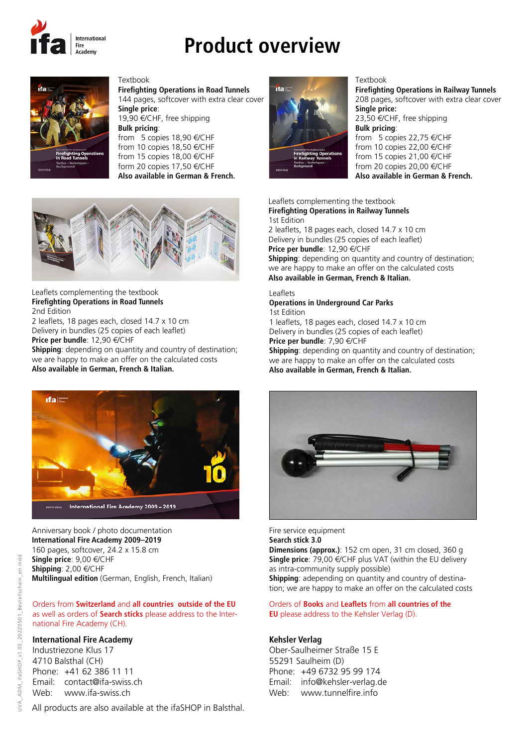

# **Product overview**



**Firefighting Operations in Road Tunnels** 144 pages, softcover with extra clear cover **Single price**: 19,90 €/CHF, free shipping **Bulk pricing**: from 5 copies 18,90 €/CHF from 10 copies 18,50 €/CHF from 15 copies 18,00 €/CHF form 20 copies 17,50 €/CHF **Also available in German & French.**



Textbook

Leaflets complementing the textbook **Firefighting Operations in Road Tunnels** 2nd Edition

2 leaflets, 18 pages each, closed 14.7 x 10 cm Delivery in bundles (25 copies of each leaflet) **Price per bundle**: 12,90 €/CHF

**Shipping**: depending on quantity and country of destination; we are happy to make an offer on the calculated costs **Also available in German, French & Italian.**



## Anniversary book / photo documentation **International Fire Academy 2009–2019** 160 pages, softcover, 24.2 x 15.8 cm

**Single price**: 9,00 €/CHF **Shipping**: 2,00 €/CHF **Multilingual edition** (German, English, French, Italian)

#### Orders from **Switzerland** and **all countries outside of the EU** as well as orders of **Search sticks** please address to the International Fire Academy (CH).

# **International Fire Academy**

Industriezone Klus 17 4710 Balsthal (CH) Phone: +41 62 386 11 11 Email: contact@ifa-swiss.ch Web: www.ifa-swiss.ch

All products are also available at the ifaSHOP in Balsthal.



#### Textbook

**Firefighting Operations in Railway Tunnels** 208 pages, softcover with extra clear cover **Single price:**  23,50 €/CHF, free shipping **Bulk pricing**: from 5 copies 22,75 €/CHF

from 10 copies 22,00 €/CHF from 15 copies 21,00 €/CHF from 20 copies 20,00 €/CHF **Also available in German & French.**

### Leaflets complementing the textbook **Firefighting Operations in Railway Tunnels**

1st Edition 2 leaflets, 18 pages each, closed 14.7 x 10 cm Delivery in bundles (25 copies of each leaflet) **Price per bundle**: 12,90 €/CHF **Shipping**: depending on quantity and country of destination; we are happy to make an offer on the calculated costs **Also available in German, French & Italian.**

#### Leaflets

#### **Operations in Underground Car Parks** 1st Edition

1 leaflets, 18 pages each, closed 14.7 x 10 cm Delivery in bundles (25 copies of each leaflet)

**Price per bundle**: 7,90 €/CHF

**Shipping**: depending on quantity and country of destination; we are happy to make an offer on the calculated costs **Also available in German, French & Italian.**



Fire service equipment **Search stick 3.0 Dimensions (approx.)**: 152 cm open, 31 cm closed, 360 g **Single price**: 79,00 €/CHF plus VAT (within the EU delivery as intra-community supply possible) **Shipping**: adepending on quantity and country of destination; we are happy to make an offer on the calculated costs

#### Orders of **Books** and **Leaflets** from **all countries of the EU** please address to the Kehsler Verlag (D).

### **Kehsler Verlag**

Ober-Saulheimer Straße 15 E 55291 Saulheim (D) Phone: +49 6732 95 99 174 Email: info@kehsler-verlag.de Web: www.tunnelfire.info